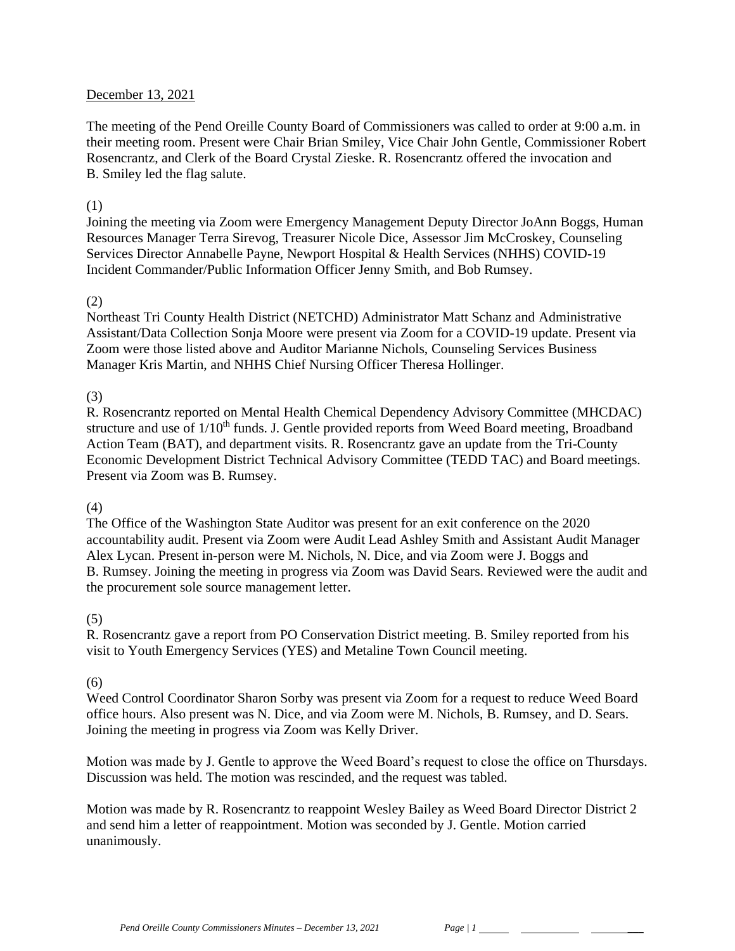### December 13, 2021

The meeting of the Pend Oreille County Board of Commissioners was called to order at 9:00 a.m. in their meeting room. Present were Chair Brian Smiley, Vice Chair John Gentle, Commissioner Robert Rosencrantz, and Clerk of the Board Crystal Zieske. R. Rosencrantz offered the invocation and B. Smiley led the flag salute.

### (1)

Joining the meeting via Zoom were Emergency Management Deputy Director JoAnn Boggs, Human Resources Manager Terra Sirevog, Treasurer Nicole Dice, Assessor Jim McCroskey, Counseling Services Director Annabelle Payne, Newport Hospital & Health Services (NHHS) COVID-19 Incident Commander/Public Information Officer Jenny Smith, and Bob Rumsey.

### (2)

Northeast Tri County Health District (NETCHD) Administrator Matt Schanz and Administrative Assistant/Data Collection Sonja Moore were present via Zoom for a COVID-19 update. Present via Zoom were those listed above and Auditor Marianne Nichols, Counseling Services Business Manager Kris Martin, and NHHS Chief Nursing Officer Theresa Hollinger.

## (3)

R. Rosencrantz reported on Mental Health Chemical Dependency Advisory Committee (MHCDAC) structure and use of 1/10<sup>th</sup> funds. J. Gentle provided reports from Weed Board meeting, Broadband Action Team (BAT), and department visits. R. Rosencrantz gave an update from the Tri-County Economic Development District Technical Advisory Committee (TEDD TAC) and Board meetings. Present via Zoom was B. Rumsey.

## (4)

The Office of the Washington State Auditor was present for an exit conference on the 2020 accountability audit. Present via Zoom were Audit Lead Ashley Smith and Assistant Audit Manager Alex Lycan. Present in-person were M. Nichols, N. Dice, and via Zoom were J. Boggs and B. Rumsey. Joining the meeting in progress via Zoom was David Sears. Reviewed were the audit and the procurement sole source management letter.

## (5)

R. Rosencrantz gave a report from PO Conservation District meeting. B. Smiley reported from his visit to Youth Emergency Services (YES) and Metaline Town Council meeting.

#### (6)

Weed Control Coordinator Sharon Sorby was present via Zoom for a request to reduce Weed Board office hours. Also present was N. Dice, and via Zoom were M. Nichols, B. Rumsey, and D. Sears. Joining the meeting in progress via Zoom was Kelly Driver.

Motion was made by J. Gentle to approve the Weed Board's request to close the office on Thursdays. Discussion was held. The motion was rescinded, and the request was tabled.

Motion was made by R. Rosencrantz to reappoint Wesley Bailey as Weed Board Director District 2 and send him a letter of reappointment. Motion was seconded by J. Gentle. Motion carried unanimously.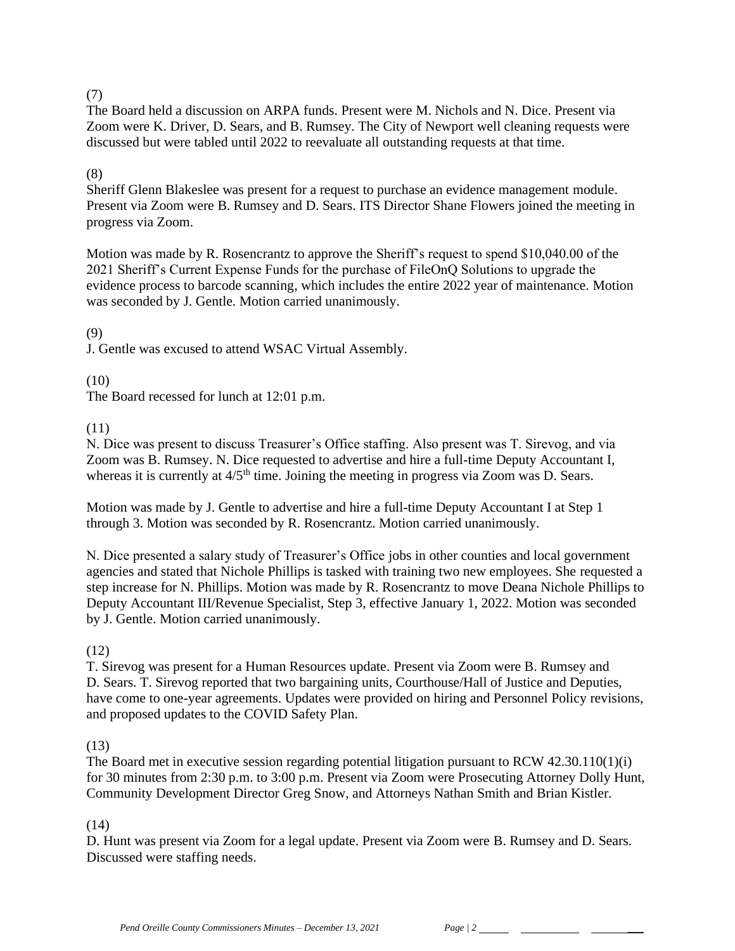## (7)

The Board held a discussion on ARPA funds. Present were M. Nichols and N. Dice. Present via Zoom were K. Driver, D. Sears, and B. Rumsey. The City of Newport well cleaning requests were discussed but were tabled until 2022 to reevaluate all outstanding requests at that time.

## (8)

Sheriff Glenn Blakeslee was present for a request to purchase an evidence management module. Present via Zoom were B. Rumsey and D. Sears. ITS Director Shane Flowers joined the meeting in progress via Zoom.

Motion was made by R. Rosencrantz to approve the Sheriff's request to spend \$10,040.00 of the 2021 Sheriff's Current Expense Funds for the purchase of FileOnQ Solutions to upgrade the evidence process to barcode scanning, which includes the entire 2022 year of maintenance. Motion was seconded by J. Gentle. Motion carried unanimously.

### (9)

J. Gentle was excused to attend WSAC Virtual Assembly.

(10)

The Board recessed for lunch at 12:01 p.m.

## (11)

N. Dice was present to discuss Treasurer's Office staffing. Also present was T. Sirevog, and via Zoom was B. Rumsey. N. Dice requested to advertise and hire a full-time Deputy Accountant I, whereas it is currently at  $4/5<sup>th</sup>$  time. Joining the meeting in progress via Zoom was D. Sears.

Motion was made by J. Gentle to advertise and hire a full-time Deputy Accountant I at Step 1 through 3. Motion was seconded by R. Rosencrantz. Motion carried unanimously.

N. Dice presented a salary study of Treasurer's Office jobs in other counties and local government agencies and stated that Nichole Phillips is tasked with training two new employees. She requested a step increase for N. Phillips. Motion was made by R. Rosencrantz to move Deana Nichole Phillips to Deputy Accountant III/Revenue Specialist, Step 3, effective January 1, 2022. Motion was seconded by J. Gentle. Motion carried unanimously.

## (12)

T. Sirevog was present for a Human Resources update. Present via Zoom were B. Rumsey and D. Sears. T. Sirevog reported that two bargaining units, Courthouse/Hall of Justice and Deputies, have come to one-year agreements. Updates were provided on hiring and Personnel Policy revisions, and proposed updates to the COVID Safety Plan.

## (13)

The Board met in executive session regarding potential litigation pursuant to RCW 42.30.110(1)(i) for 30 minutes from 2:30 p.m. to 3:00 p.m. Present via Zoom were Prosecuting Attorney Dolly Hunt, Community Development Director Greg Snow, and Attorneys Nathan Smith and Brian Kistler.

## (14)

D. Hunt was present via Zoom for a legal update. Present via Zoom were B. Rumsey and D. Sears. Discussed were staffing needs.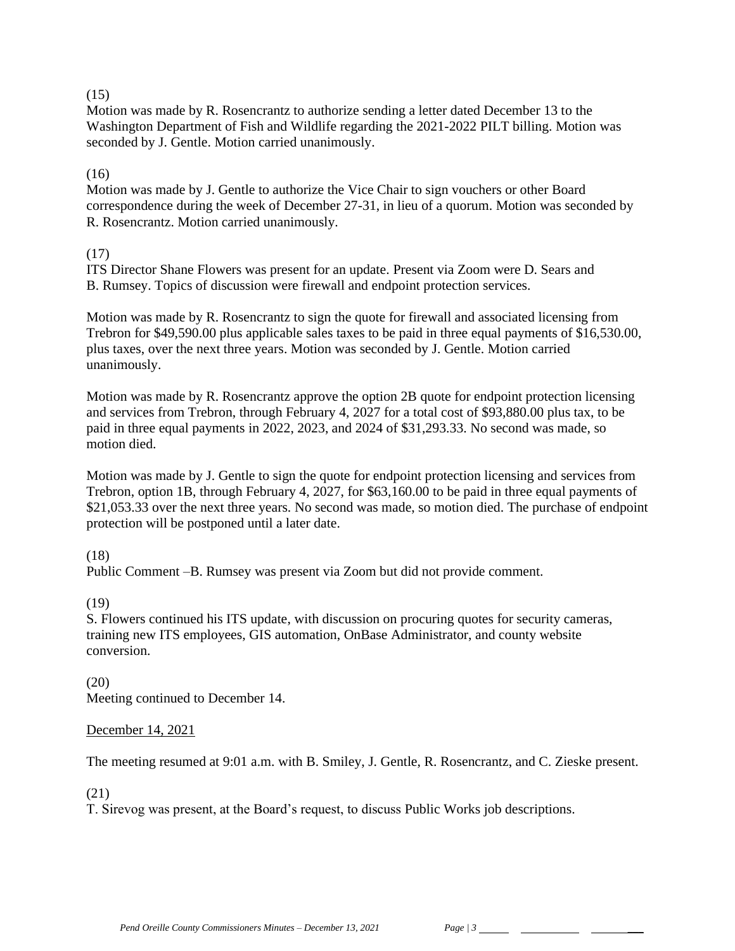## $(15)$

Motion was made by R. Rosencrantz to authorize sending a letter dated December 13 to the Washington Department of Fish and Wildlife regarding the 2021-2022 PILT billing. Motion was seconded by J. Gentle. Motion carried unanimously.

# $(16)$

Motion was made by J. Gentle to authorize the Vice Chair to sign vouchers or other Board correspondence during the week of December 27-31, in lieu of a quorum. Motion was seconded by R. Rosencrantz. Motion carried unanimously.

# (17)

ITS Director Shane Flowers was present for an update. Present via Zoom were D. Sears and B. Rumsey. Topics of discussion were firewall and endpoint protection services.

Motion was made by R. Rosencrantz to sign the quote for firewall and associated licensing from Trebron for \$49,590.00 plus applicable sales taxes to be paid in three equal payments of \$16,530.00, plus taxes, over the next three years. Motion was seconded by J. Gentle. Motion carried unanimously.

Motion was made by R. Rosencrantz approve the option 2B quote for endpoint protection licensing and services from Trebron, through February 4, 2027 for a total cost of \$93,880.00 plus tax, to be paid in three equal payments in 2022, 2023, and 2024 of \$31,293.33. No second was made, so motion died.

Motion was made by J. Gentle to sign the quote for endpoint protection licensing and services from Trebron, option 1B, through February 4, 2027, for \$63,160.00 to be paid in three equal payments of \$21,053.33 over the next three years. No second was made, so motion died. The purchase of endpoint protection will be postponed until a later date.

# (18)

Public Comment –B. Rumsey was present via Zoom but did not provide comment.

(19)

S. Flowers continued his ITS update, with discussion on procuring quotes for security cameras, training new ITS employees, GIS automation, OnBase Administrator, and county website conversion.

(20) Meeting continued to December 14.

# December 14, 2021

The meeting resumed at 9:01 a.m. with B. Smiley, J. Gentle, R. Rosencrantz, and C. Zieske present.

(21)

T. Sirevog was present, at the Board's request, to discuss Public Works job descriptions.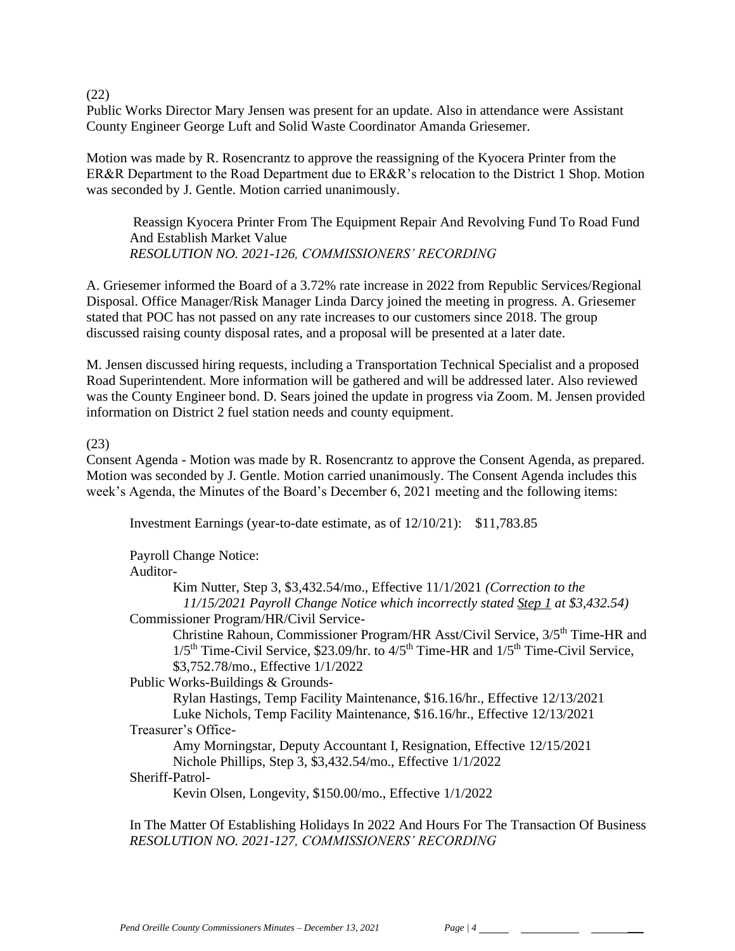(22)

Public Works Director Mary Jensen was present for an update. Also in attendance were Assistant County Engineer George Luft and Solid Waste Coordinator Amanda Griesemer.

Motion was made by R. Rosencrantz to approve the reassigning of the Kyocera Printer from the ER&R Department to the Road Department due to ER&R's relocation to the District 1 Shop. Motion was seconded by J. Gentle. Motion carried unanimously.

Reassign Kyocera Printer From The Equipment Repair And Revolving Fund To Road Fund And Establish Market Value *RESOLUTION NO. 2021-126, COMMISSIONERS' RECORDING* 

A. Griesemer informed the Board of a 3.72% rate increase in 2022 from Republic Services/Regional Disposal. Office Manager/Risk Manager Linda Darcy joined the meeting in progress. A. Griesemer stated that POC has not passed on any rate increases to our customers since 2018. The group discussed raising county disposal rates, and a proposal will be presented at a later date.

M. Jensen discussed hiring requests, including a Transportation Technical Specialist and a proposed Road Superintendent. More information will be gathered and will be addressed later. Also reviewed was the County Engineer bond. D. Sears joined the update in progress via Zoom. M. Jensen provided information on District 2 fuel station needs and county equipment.

### (23)

Consent Agenda - Motion was made by R. Rosencrantz to approve the Consent Agenda, as prepared. Motion was seconded by J. Gentle. Motion carried unanimously. The Consent Agenda includes this week's Agenda, the Minutes of the Board's December 6, 2021 meeting and the following items:

Investment Earnings (year-to-date estimate, as of 12/10/21): \$11,783.85

Payroll Change Notice:

Auditor-

Kim Nutter, Step 3, \$3,432.54/mo., Effective 11/1/2021 *(Correction to the 11/15/2021 Payroll Change Notice which incorrectly stated Step 1 at \$3,432.54)* Commissioner Program/HR/Civil Service-

Christine Rahoun, Commissioner Program/HR Asst/Civil Service,  $3/5^{th}$  Time-HR and  $1/5$ <sup>th</sup> Time-Civil Service, \$23.09/hr. to  $4/5$ <sup>th</sup> Time-HR and  $1/5$ <sup>th</sup> Time-Civil Service. \$3,752.78/mo., Effective 1/1/2022

Public Works-Buildings & Grounds-

Rylan Hastings, Temp Facility Maintenance, \$16.16/hr., Effective 12/13/2021 Luke Nichols, Temp Facility Maintenance, \$16.16/hr., Effective 12/13/2021 Treasurer's Office-

Amy Morningstar, Deputy Accountant I, Resignation, Effective 12/15/2021 Nichole Phillips, Step 3, \$3,432.54/mo., Effective 1/1/2022

Sheriff-Patrol-

Kevin Olsen, Longevity, \$150.00/mo., Effective 1/1/2022

In The Matter Of Establishing Holidays In 2022 And Hours For The Transaction Of Business *RESOLUTION NO. 2021-127, COMMISSIONERS' RECORDING*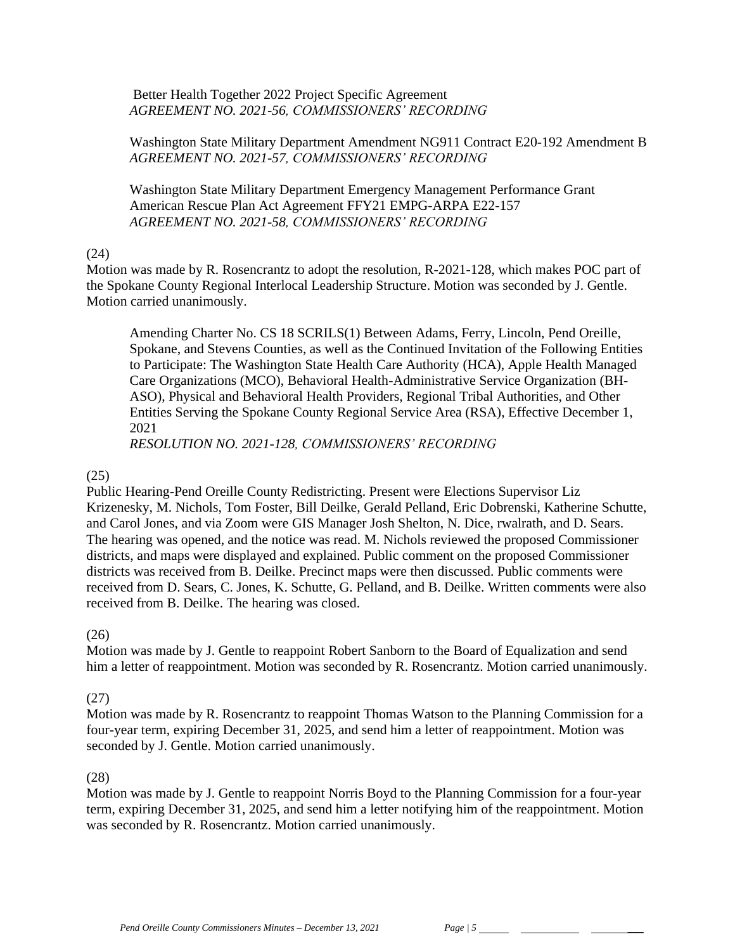Better Health Together 2022 Project Specific Agreement *AGREEMENT NO. 2021-56, COMMISSIONERS' RECORDING*

Washington State Military Department Amendment NG911 Contract E20-192 Amendment B *AGREEMENT NO. 2021-57, COMMISSIONERS' RECORDING*

Washington State Military Department Emergency Management Performance Grant American Rescue Plan Act Agreement FFY21 EMPG-ARPA E22-157 *AGREEMENT NO. 2021-58, COMMISSIONERS' RECORDING* 

### (24)

Motion was made by R. Rosencrantz to adopt the resolution, R-2021-128, which makes POC part of the Spokane County Regional Interlocal Leadership Structure. Motion was seconded by J. Gentle. Motion carried unanimously.

Amending Charter No. CS 18 SCRILS(1) Between Adams, Ferry, Lincoln, Pend Oreille, Spokane, and Stevens Counties, as well as the Continued Invitation of the Following Entities to Participate: The Washington State Health Care Authority (HCA), Apple Health Managed Care Organizations (MCO), Behavioral Health-Administrative Service Organization (BH-ASO), Physical and Behavioral Health Providers, Regional Tribal Authorities, and Other Entities Serving the Spokane County Regional Service Area (RSA), Effective December 1, 2021

*RESOLUTION NO. 2021-128, COMMISSIONERS' RECORDING* 

## (25)

Public Hearing-Pend Oreille County Redistricting. Present were Elections Supervisor Liz Krizenesky, M. Nichols, Tom Foster, Bill Deilke, Gerald Pelland, Eric Dobrenski, Katherine Schutte, and Carol Jones, and via Zoom were GIS Manager Josh Shelton, N. Dice, rwalrath, and D. Sears. The hearing was opened, and the notice was read. M. Nichols reviewed the proposed Commissioner districts, and maps were displayed and explained. Public comment on the proposed Commissioner districts was received from B. Deilke. Precinct maps were then discussed. Public comments were received from D. Sears, C. Jones, K. Schutte, G. Pelland, and B. Deilke. Written comments were also received from B. Deilke. The hearing was closed.

## (26)

Motion was made by J. Gentle to reappoint Robert Sanborn to the Board of Equalization and send him a letter of reappointment. Motion was seconded by R. Rosencrantz. Motion carried unanimously.

## (27)

Motion was made by R. Rosencrantz to reappoint Thomas Watson to the Planning Commission for a four-year term, expiring December 31, 2025, and send him a letter of reappointment. Motion was seconded by J. Gentle. Motion carried unanimously.

## (28)

Motion was made by J. Gentle to reappoint Norris Boyd to the Planning Commission for a four-year term, expiring December 31, 2025, and send him a letter notifying him of the reappointment. Motion was seconded by R. Rosencrantz. Motion carried unanimously.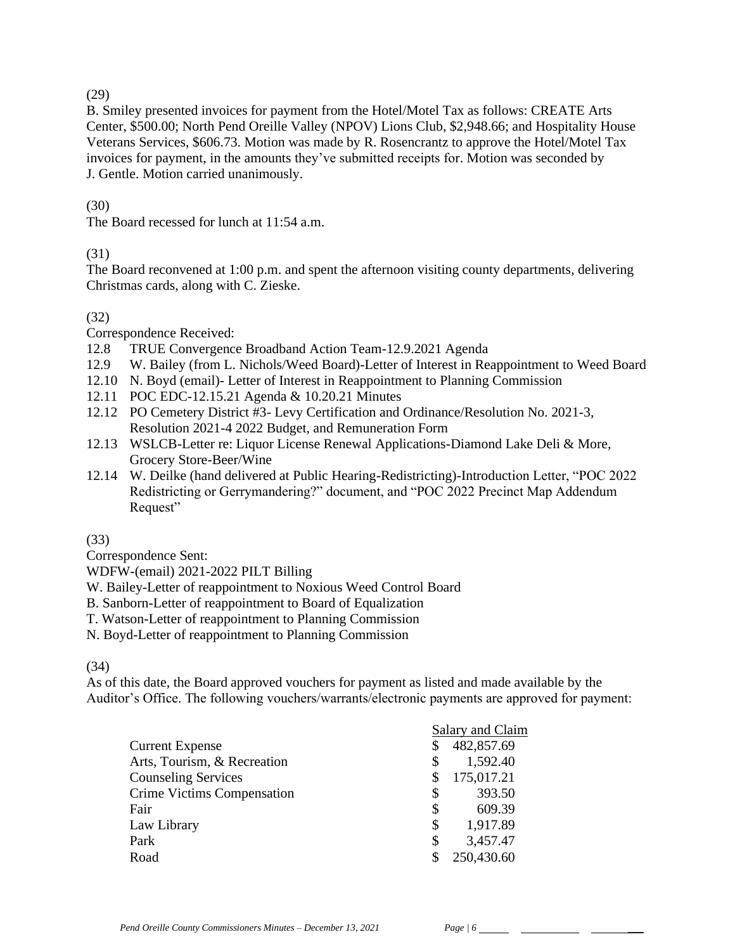(29)

B. Smiley presented invoices for payment from the Hotel/Motel Tax as follows: CREATE Arts Center, \$500.00; North Pend Oreille Valley (NPOV) Lions Club, \$2,948.66; and Hospitality House Veterans Services, \$606.73. Motion was made by R. Rosencrantz to approve the Hotel/Motel Tax invoices for payment, in the amounts they've submitted receipts for. Motion was seconded by J. Gentle. Motion carried unanimously.

# (30)

The Board recessed for lunch at 11:54 a.m.

# (31)

The Board reconvened at 1:00 p.m. and spent the afternoon visiting county departments, delivering Christmas cards, along with C. Zieske.

# (32)

Correspondence Received:

12.8 TRUE Convergence Broadband Action Team-12.9.2021 Agenda

- 12.9 W. Bailey (from L. Nichols/Weed Board)-Letter of Interest in Reappointment to Weed Board
- 12.10 N. Boyd (email)- Letter of Interest in Reappointment to Planning Commission
- 12.11 POC EDC-12.15.21 Agenda & 10.20.21 Minutes
- 12.12 PO Cemetery District #3- Levy Certification and Ordinance/Resolution No. 2021-3, Resolution 2021-4 2022 Budget, and Remuneration Form
- 12.13 WSLCB-Letter re: Liquor License Renewal Applications-Diamond Lake Deli & More, Grocery Store-Beer/Wine
- 12.14 W. Deilke (hand delivered at Public Hearing-Redistricting)-Introduction Letter, "POC 2022 Redistricting or Gerrymandering?" document, and "POC 2022 Precinct Map Addendum Request"

## (33)

Correspondence Sent:

WDFW-(email) 2021-2022 PILT Billing

- W. Bailey-Letter of reappointment to Noxious Weed Control Board
- B. Sanborn-Letter of reappointment to Board of Equalization
- T. Watson-Letter of reappointment to Planning Commission
- N. Boyd-Letter of reappointment to Planning Commission

## (34)

As of this date, the Board approved vouchers for payment as listed and made available by the Auditor's Office. The following vouchers/warrants/electronic payments are approved for payment:

|                             |    | Salary and Claim |  |
|-----------------------------|----|------------------|--|
| <b>Current Expense</b>      | S  | 482,857.69       |  |
| Arts, Tourism, & Recreation | S  | 1,592.40         |  |
| <b>Counseling Services</b>  |    | 175,017.21       |  |
| Crime Victims Compensation  | \$ | 393.50           |  |
| Fair                        | \$ | 609.39           |  |
| Law Library                 | \$ | 1,917.89         |  |
| Park                        | \$ | 3,457.47         |  |
| Road                        |    | 250,430.60       |  |